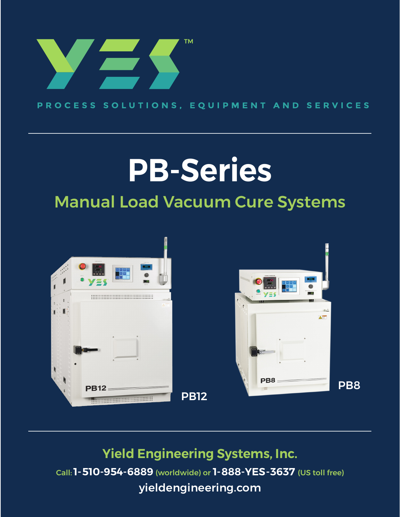

PROCESS SOLUTIONS, EQUIPMENT AND SERVICES

# **PB-Series** Manual Load Vacuum Cure Systems





**Yield Engineering Systems, Inc.** Call:**1-510-954-6889** (worldwide) or **1-888-YES-3637** (US toll free) [yieldengineering.com](http://yieldengineering.com)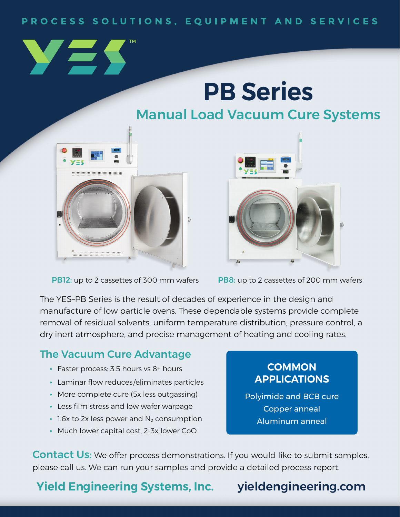### PROCESS SOLUTIONS, EQUIPMENT AND SERVICES

# **PB Series**

## Manual Load Vacuum Cure Systems



**PB12:** up to 2 cassettes of 300 mm wafers **PB8:** up to 2 cassettes of 200 mm wafers



**COMMON APPLICATIONS**

Polyimide and BCB cure Copper anneal Aluminum anneal

The YES–PB Series is the result of decades of experience in the design and manufacture of low particle ovens. These dependable systems provide complete removal of residual solvents, uniform temperature distribution, pressure control, a dry inert atmosphere, and precise management of heating and cooling rates.

### The Vacuum Cure Advantage

- **•** Faster process: 3.5 hours vs 8+ hours
- **•** Laminar flow reduces/eliminates particles
- **•** More complete cure (5x less outgassing)
- **•** Less film stress and low wafer warpage
- 1.6x to 2x less power and N<sub>2</sub> consumption
- **•** Much lower capital cost, 2-3x lower CoO

**Contact Us:** We offer process demonstrations. If you would like to submit samples, please call us. We can run your samples and provide a detailed process report.

**Yield Engineering Systems, Inc.** [yieldengineering.com](http://yieldengineering.com)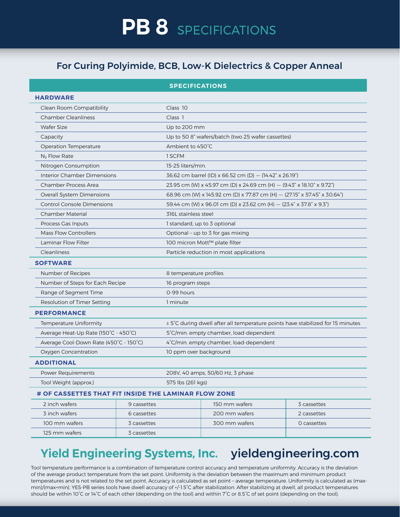### For Curing Polyimide, BCB, Low-K Dielectrics & Copper Anneal

| <b>SPECIFICATIONS</b>                                |             |                                                                                |               |             |  |  |  |
|------------------------------------------------------|-------------|--------------------------------------------------------------------------------|---------------|-------------|--|--|--|
| <b>HARDWARE</b>                                      |             |                                                                                |               |             |  |  |  |
| Clean Room Compatibility                             |             | Class 10                                                                       |               |             |  |  |  |
| <b>Chamber Cleanliness</b>                           |             | Class 1                                                                        |               |             |  |  |  |
| <b>Wafer Size</b>                                    |             | Up to 200 mm                                                                   |               |             |  |  |  |
| Capacity                                             |             | Up to 50 8" wafers/batch (two 25 wafer cassettes)                              |               |             |  |  |  |
| <b>Operation Temperature</b>                         |             | Ambient to 450°C                                                               |               |             |  |  |  |
| $N_2$ Flow Rate                                      |             | 1 SCFM                                                                         |               |             |  |  |  |
| Nitrogen Consumption                                 |             | 15-25 liters/min.                                                              |               |             |  |  |  |
| Interior Chamber Dimensions                          |             | 36.62 cm barrel (ID) x 66.52 cm (D) - (14.42" x 26.19")                        |               |             |  |  |  |
| Chamber Process Area                                 |             | 23.95 cm (W) x 45.97 cm (D) x 24.69 cm (H) - (9.43" x 18.10" x 9.72")          |               |             |  |  |  |
| Overall System Dimensions                            |             | 68.96 cm (W) x 145.92 cm (D) x 77.87 cm (H) - (27.15" x 57.45" x 30.64")       |               |             |  |  |  |
| <b>Control Console Dimensions</b>                    |             | 59.44 cm (W) x 96.01 cm (D) x 23.62 cm (H) - (23.4" x 37.8" x 9.3")            |               |             |  |  |  |
| Chamber Material                                     |             | 316L stainless steel                                                           |               |             |  |  |  |
| Process Gas Inputs                                   |             | 1 standard, up to 3 optional                                                   |               |             |  |  |  |
| Mass Flow Controllers                                |             | Optional - up to 3 for gas mixing                                              |               |             |  |  |  |
| Laminar Flow Filter                                  |             | 100 micron Mott™ plate filter                                                  |               |             |  |  |  |
| Cleanliness                                          |             | Particle reduction in most applications                                        |               |             |  |  |  |
| <b>SOFTWARE</b>                                      |             |                                                                                |               |             |  |  |  |
| Number of Recipes                                    |             | 8 temperature profiles                                                         |               |             |  |  |  |
| Number of Steps for Each Recipe                      |             | 16 program steps                                                               |               |             |  |  |  |
| Range of Segment Time                                |             | 0-99 hours                                                                     |               |             |  |  |  |
| Resolution of Timer Setting                          |             | 1 minute                                                                       |               |             |  |  |  |
| <b>PERFORMANCE</b>                                   |             |                                                                                |               |             |  |  |  |
| Temperature Uniformity                               |             | ± 5°C during dwell after all temperature points have stabilized for 15 minutes |               |             |  |  |  |
| Average Heat-Up Rate (150°C - 450°C)                 |             | 5°C/min. empty chamber, load-dependent                                         |               |             |  |  |  |
| Average Cool-Down Rate (450°C - 150°C)               |             | 4°C/min. empty chamber, load-dependent                                         |               |             |  |  |  |
| Oxygen Concentration                                 |             | 10 ppm over background                                                         |               |             |  |  |  |
| <b>ADDITIONAL</b>                                    |             |                                                                                |               |             |  |  |  |
| Power Requirements                                   |             | 208V, 40 amps, 50/60 Hz, 3 phase                                               |               |             |  |  |  |
| Tool Weight (approx.)                                |             | 575 lbs (261 kgs)                                                              |               |             |  |  |  |
| # OF CASSETTES THAT FIT INSIDE THE LAMINAR FLOW ZONE |             |                                                                                |               |             |  |  |  |
| 2 inch wafers                                        | 9 cassettes |                                                                                | 150 mm wafers | 3 cassettes |  |  |  |
| 3 inch wafers                                        | 6 cassettes |                                                                                | 200 mm wafers | 2 cassettes |  |  |  |
| 100 mm wafers                                        | 3 cassettes |                                                                                | 300 mm wafers | O cassettes |  |  |  |
| 125 mm wafers                                        | 3 cassettes |                                                                                |               |             |  |  |  |

## **Yield Engineering Systems, Inc.** [yieldengineering.com](http://yieldengineering.com)

Tool temperature performance is a combination of temperature control accuracy and temperature uniformity. Accuracy is the deviation of the average product temperature from the set point. Uniformity is the deviation between the maximum and minimum product temperatures and is not related to the set point. Accuracy is calculated as set point – average temperature. Uniformity is calculated as (maxmin)/(max+min). YES-PB series tools have dwell accuracy of +/-1.5°C after stabilization. After stabilizing at dwell, all product temperatures should be within 10°C or 14°C of each other (depending on the tool) and within 7°C or 8.5°C of set point (depending on the tool).